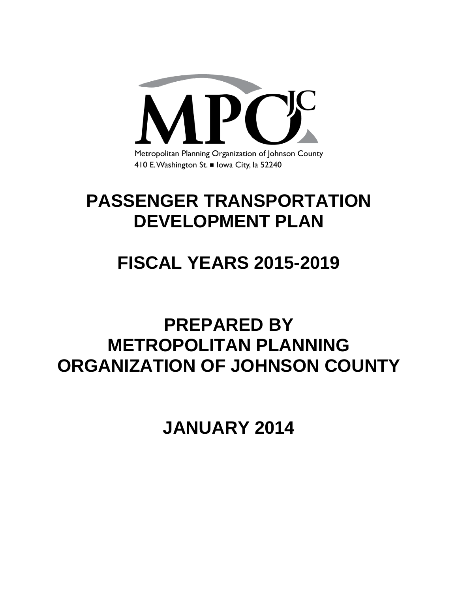

# **PASSENGER TRANSPORTATION DEVELOPMENT PLAN**

# **FISCAL YEARS 2015-2019**

# **PREPARED BY METROPOLITAN PLANNING ORGANIZATION OF JOHNSON COUNTY**

**JANUARY 2014**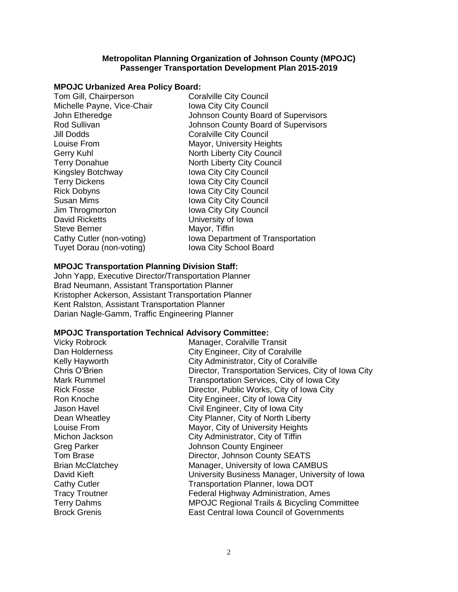#### **Metropolitan Planning Organization of Johnson County (MPOJC) Passenger Transportation Development Plan 2015-2019**

# **MPOJC Urbanized Area Policy Board:**

| Tom Gill, Chairperson      | <b>Coralville City Council</b>      |
|----------------------------|-------------------------------------|
| Michelle Payne, Vice-Chair | Iowa City City Council              |
| John Etheredge             | Johnson County Board of Supervisors |
| Rod Sullivan               | Johnson County Board of Supervisors |
| <b>Jill Dodds</b>          | <b>Coralville City Council</b>      |
| Louise From                | Mayor, University Heights           |
| <b>Gerry Kuhl</b>          | North Liberty City Council          |
| <b>Terry Donahue</b>       | North Liberty City Council          |
| Kingsley Botchway          | <b>Iowa City City Council</b>       |
| <b>Terry Dickens</b>       | Iowa City City Council              |
| <b>Rick Dobyns</b>         | Iowa City City Council              |
| <b>Susan Mims</b>          | Iowa City City Council              |
| Jim Throgmorton            | Iowa City City Council              |
| <b>David Ricketts</b>      | University of Iowa                  |
| <b>Steve Berner</b>        | Mayor, Tiffin                       |
| Cathy Cutler (non-voting)  | Iowa Department of Transportation   |
| Tuyet Dorau (non-voting)   | <b>Iowa City School Board</b>       |

#### **MPOJC Transportation Planning Division Staff:**

John Yapp, Executive Director/Transportation Planner Brad Neumann, Assistant Transportation Planner Kristopher Ackerson, Assistant Transportation Planner Kent Ralston, Assistant Transportation Planner Darian Nagle-Gamm, Traffic Engineering Planner

#### **MPOJC Transportation Technical Advisory Committee:**

| <b>Vicky Robrock</b>    | Manager, Coralville Transit                            |
|-------------------------|--------------------------------------------------------|
| Dan Holderness          | City Engineer, City of Coralville                      |
| Kelly Hayworth          | City Administrator, City of Coralville                 |
| Chris O'Brien           | Director, Transportation Services, City of Iowa City   |
| Mark Rummel             | Transportation Services, City of Iowa City             |
| <b>Rick Fosse</b>       | Director, Public Works, City of Iowa City              |
| Ron Knoche              | City Engineer, City of Iowa City                       |
| Jason Havel             | Civil Engineer, City of Iowa City                      |
| Dean Wheatley           | City Planner, City of North Liberty                    |
| Louise From             | Mayor, City of University Heights                      |
| Michon Jackson          | City Administrator, City of Tiffin                     |
| <b>Greg Parker</b>      | <b>Johnson County Engineer</b>                         |
| Tom Brase               | Director, Johnson County SEATS                         |
| <b>Brian McClatchey</b> | Manager, University of Iowa CAMBUS                     |
| David Kieft             | University Business Manager, University of Iowa        |
| <b>Cathy Cutler</b>     | Transportation Planner, Iowa DOT                       |
| <b>Tracy Troutner</b>   | Federal Highway Administration, Ames                   |
| <b>Terry Dahms</b>      | <b>MPOJC Regional Trails &amp; Bicycling Committee</b> |
| <b>Brock Grenis</b>     | <b>East Central Iowa Council of Governments</b>        |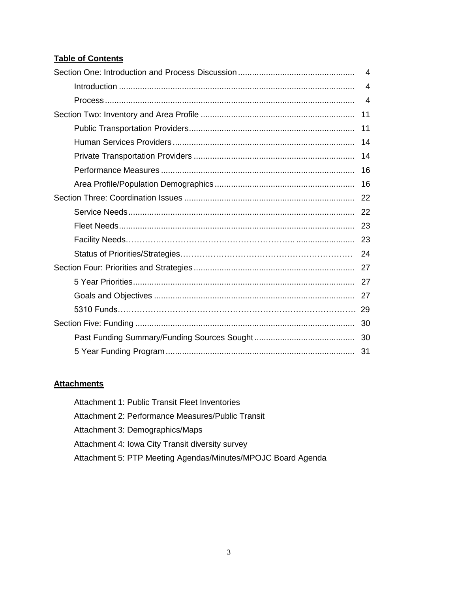# **Table of Contents**

| $\overline{4}$ |
|----------------|
| 4              |
| $\overline{4}$ |
| 11             |
| 11             |
| 14             |
| 14             |
| 16             |
| 16             |
|                |
|                |
|                |
|                |
|                |
|                |
|                |
|                |
|                |
| 30             |
|                |
|                |

# **Attachments**

Attachment 1: Public Transit Fleet Inventories Attachment 2: Performance Measures/Public Transit Attachment 3: Demographics/Maps Attachment 4: Iowa City Transit diversity survey Attachment 5: PTP Meeting Agendas/Minutes/MPOJC Board Agenda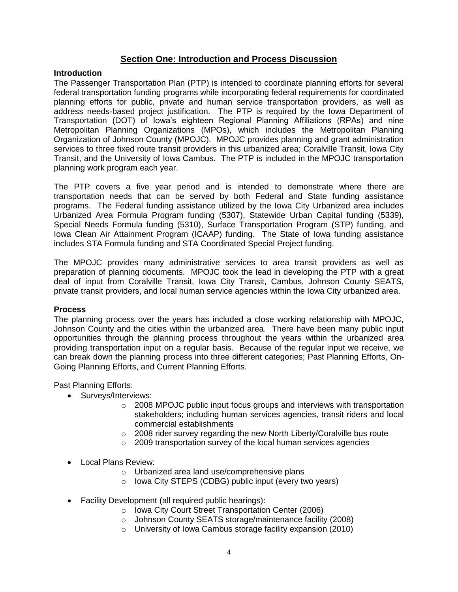# **Section One: Introduction and Process Discussion**

#### **Introduction**

The Passenger Transportation Plan (PTP) is intended to coordinate planning efforts for several federal transportation funding programs while incorporating federal requirements for coordinated planning efforts for public, private and human service transportation providers, as well as address needs-based project justification. The PTP is required by the Iowa Department of Transportation (DOT) of Iowa's eighteen Regional Planning Affiliations (RPAs) and nine Metropolitan Planning Organizations (MPOs), which includes the Metropolitan Planning Organization of Johnson County (MPOJC). MPOJC provides planning and grant administration services to three fixed route transit providers in this urbanized area; Coralville Transit, Iowa City Transit, and the University of Iowa Cambus. The PTP is included in the MPOJC transportation planning work program each year.

The PTP covers a five year period and is intended to demonstrate where there are transportation needs that can be served by both Federal and State funding assistance programs. The Federal funding assistance utilized by the Iowa City Urbanized area includes Urbanized Area Formula Program funding (5307), Statewide Urban Capital funding (5339), Special Needs Formula funding (5310), Surface Transportation Program (STP) funding, and Iowa Clean Air Attainment Program (ICAAP) funding. The State of Iowa funding assistance includes STA Formula funding and STA Coordinated Special Project funding.

The MPOJC provides many administrative services to area transit providers as well as preparation of planning documents. MPOJC took the lead in developing the PTP with a great deal of input from Coralville Transit, Iowa City Transit, Cambus, Johnson County SEATS, private transit providers, and local human service agencies within the Iowa City urbanized area.

#### **Process**

The planning process over the years has included a close working relationship with MPOJC, Johnson County and the cities within the urbanized area. There have been many public input opportunities through the planning process throughout the years within the urbanized area providing transportation input on a regular basis. Because of the regular input we receive, we can break down the planning process into three different categories; Past Planning Efforts, On-Going Planning Efforts, and Current Planning Efforts.

Past Planning Efforts:

- Surveys/Interviews:
	- $\circ$  2008 MPOJC public input focus groups and interviews with transportation stakeholders; including human services agencies, transit riders and local commercial establishments
	- o 2008 rider survey regarding the new North Liberty/Coralville bus route
	- o 2009 transportation survey of the local human services agencies
- Local Plans Review:
	- o Urbanized area land use/comprehensive plans
	- o Iowa City STEPS (CDBG) public input (every two years)
- Facility Development (all required public hearings):
	- o Iowa City Court Street Transportation Center (2006)
	- o Johnson County SEATS storage/maintenance facility (2008)
	- o University of Iowa Cambus storage facility expansion (2010)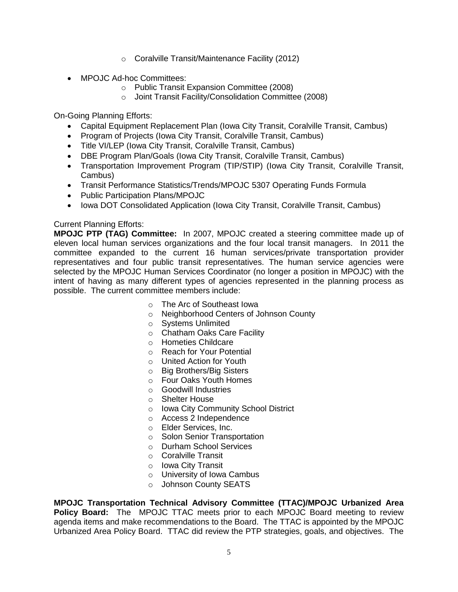- o Coralville Transit/Maintenance Facility (2012)
- MPOJC Ad-hoc Committees:
	- o Public Transit Expansion Committee (2008)
	- o Joint Transit Facility/Consolidation Committee (2008)

On-Going Planning Efforts:

- Capital Equipment Replacement Plan (Iowa City Transit, Coralville Transit, Cambus)
- Program of Projects (Iowa City Transit, Coralville Transit, Cambus)
- Title VI/LEP (Iowa City Transit, Coralville Transit, Cambus)
- DBE Program Plan/Goals (Iowa City Transit, Coralville Transit, Cambus)
- Transportation Improvement Program (TIP/STIP) (Iowa City Transit, Coralville Transit, Cambus)
- Transit Performance Statistics/Trends/MPOJC 5307 Operating Funds Formula
- Public Participation Plans/MPOJC
- Iowa DOT Consolidated Application (Iowa City Transit, Coralville Transit, Cambus)

#### Current Planning Efforts:

**MPOJC PTP (TAG) Committee:** In 2007, MPOJC created a steering committee made up of eleven local human services organizations and the four local transit managers. In 2011 the committee expanded to the current 16 human services/private transportation provider representatives and four public transit representatives. The human service agencies were selected by the MPOJC Human Services Coordinator (no longer a position in MPOJC) with the intent of having as many different types of agencies represented in the planning process as possible. The current committee members include:

- o The Arc of Southeast Iowa
- o Neighborhood Centers of Johnson County
- o Systems Unlimited
- o Chatham Oaks Care Facility
- o Hometies Childcare
- o Reach for Your Potential
- o United Action for Youth
- o Big Brothers/Big Sisters
- o Four Oaks Youth Homes
- o Goodwill Industries
- o Shelter House
- o Iowa City Community School District
- o Access 2 Independence
- o Elder Services, Inc.
- o Solon Senior Transportation
- o Durham School Services
- o Coralville Transit
- o Iowa City Transit
- o University of Iowa Cambus
- o Johnson County SEATS

**MPOJC Transportation Technical Advisory Committee (TTAC)/MPOJC Urbanized Area Policy Board:** The MPOJC TTAC meets prior to each MPOJC Board meeting to review agenda items and make recommendations to the Board. The TTAC is appointed by the MPOJC Urbanized Area Policy Board. TTAC did review the PTP strategies, goals, and objectives. The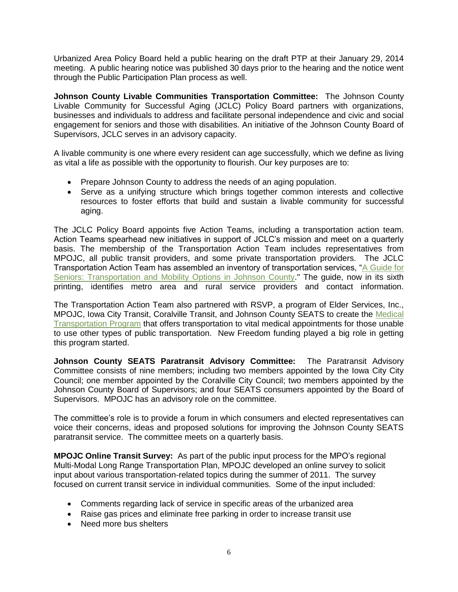Urbanized Area Policy Board held a public hearing on the draft PTP at their January 29, 2014 meeting. A public hearing notice was published 30 days prior to the hearing and the notice went through the Public Participation Plan process as well.

**Johnson County Livable Communities Transportation Committee:** The Johnson County Livable Community for Successful Aging (JCLC) Policy Board partners with organizations, businesses and individuals to address and facilitate personal independence and civic and social engagement for seniors and those with disabilities. An initiative of the Johnson County Board of Supervisors, JCLC serves in an advisory capacity.

A livable community is one where every resident can age successfully, which we define as living as vital a life as possible with the opportunity to flourish. Our key purposes are to:

- Prepare Johnson County to address the needs of an aging population.
- Serve as a unifying structure which brings together common interests and collective resources to foster efforts that build and sustain a livable community for successful aging.

The JCLC Policy Board appoints five Action Teams, including a transportation action team. Action Teams spearhead new initiatives in support of JCLC's mission and meet on a quarterly basis. The membership of the Transportation Action Team includes representatives from MPOJC, all public transit providers, and some private transportation providers. The JCLC Transportation Action Team has assembled an inventory of transportation services, ["A Guide for](http://www.livablecommunity.org/Handler.ashx?Item_ID=E23BB64C-F7F7-44B1-9444-E488BC4F1935)  [Seniors: Transportation and Mobility Options in Johnson County.](http://www.livablecommunity.org/Handler.ashx?Item_ID=E23BB64C-F7F7-44B1-9444-E488BC4F1935)" The guide, now in its sixth printing, identifies metro area and rural service providers and contact information.

The Transportation Action Team also partnered with RSVP, a program of Elder Services, Inc., MPOJC, Iowa City Transit, Coralville Transit, and Johnson County SEATS to create the [Medical](http://www.livablecommunity.org/Content/Our-Resources/Grant-Related-Programs/Medical-Transportation-Program.aspx)  [Transportation Program](http://www.livablecommunity.org/Content/Our-Resources/Grant-Related-Programs/Medical-Transportation-Program.aspx) that offers transportation to vital medical appointments for those unable to use other types of public transportation. New Freedom funding played a big role in getting this program started.

**Johnson County SEATS Paratransit Advisory Committee:** The Paratransit Advisory Committee consists of nine members; including two members appointed by the Iowa City City Council; one member appointed by the Coralville City Council; two members appointed by the Johnson County Board of Supervisors; and four SEATS consumers appointed by the Board of Supervisors. MPOJC has an advisory role on the committee.

The committee's role is to provide a forum in which consumers and elected representatives can voice their concerns, ideas and proposed solutions for improving the Johnson County SEATS paratransit service. The committee meets on a quarterly basis.

**MPOJC Online Transit Survey:** As part of the public input process for the MPO's regional Multi-Modal Long Range Transportation Plan, MPOJC developed an online survey to solicit input about various transportation-related topics during the summer of 2011. The survey focused on current transit service in individual communities. Some of the input included:

- Comments regarding lack of service in specific areas of the urbanized area
- Raise gas prices and eliminate free parking in order to increase transit use
- Need more bus shelters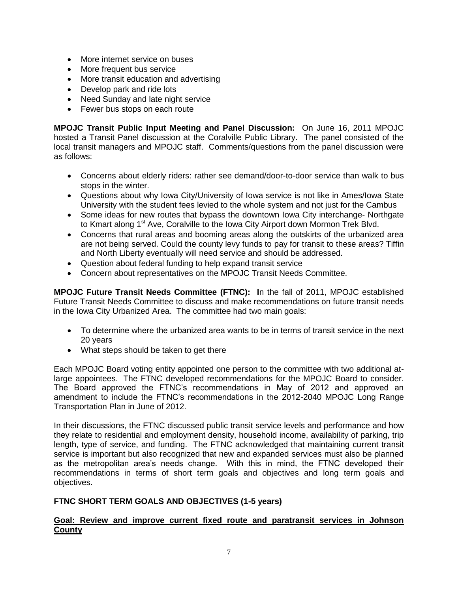- More internet service on buses
- More frequent bus service
- More transit education and advertising
- Develop park and ride lots
- Need Sunday and late night service
- Fewer bus stops on each route

**MPOJC Transit Public Input Meeting and Panel Discussion:** On June 16, 2011 MPOJC hosted a Transit Panel discussion at the Coralville Public Library. The panel consisted of the local transit managers and MPOJC staff. Comments/questions from the panel discussion were as follows:

- Concerns about elderly riders: rather see demand/door-to-door service than walk to bus stops in the winter.
- Questions about why Iowa City/University of Iowa service is not like in Ames/Iowa State University with the student fees levied to the whole system and not just for the Cambus
- Some ideas for new routes that bypass the downtown Iowa City interchange- Northgate to Kmart along 1<sup>st</sup> Ave, Coralville to the Iowa City Airport down Mormon Trek Blvd.
- Concerns that rural areas and booming areas along the outskirts of the urbanized area are not being served. Could the county levy funds to pay for transit to these areas? Tiffin and North Liberty eventually will need service and should be addressed.
- Question about federal funding to help expand transit service
- Concern about representatives on the MPOJC Transit Needs Committee.

**MPOJC Future Transit Needs Committee (FTNC): I**n the fall of 2011, MPOJC established Future Transit Needs Committee to discuss and make recommendations on future transit needs in the Iowa City Urbanized Area. The committee had two main goals:

- To determine where the urbanized area wants to be in terms of transit service in the next 20 years
- What steps should be taken to get there

Each MPOJC Board voting entity appointed one person to the committee with two additional atlarge appointees. The FTNC developed recommendations for the MPOJC Board to consider. The Board approved the FTNC's recommendations in May of 2012 and approved an amendment to include the FTNC's recommendations in the 2012-2040 MPOJC Long Range Transportation Plan in June of 2012.

In their discussions, the FTNC discussed public transit service levels and performance and how they relate to residential and employment density, household income, availability of parking, trip length, type of service, and funding. The FTNC acknowledged that maintaining current transit service is important but also recognized that new and expanded services must also be planned as the metropolitan area's needs change. With this in mind, the FTNC developed their recommendations in terms of short term goals and objectives and long term goals and objectives.

# **FTNC SHORT TERM GOALS AND OBJECTIVES (1-5 years)**

#### **Goal: Review and improve current fixed route and paratransit services in Johnson County**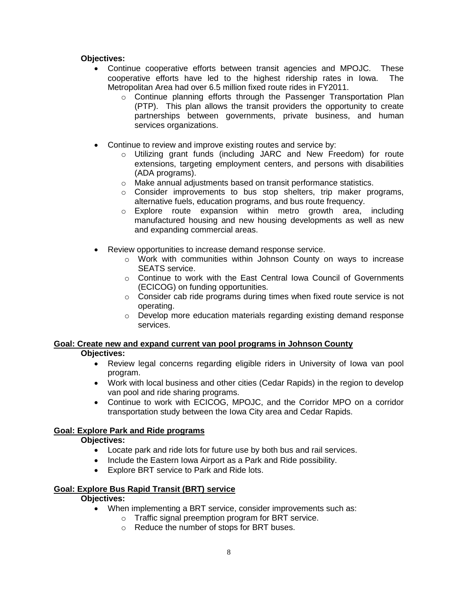#### **Objectives:**

- Continue cooperative efforts between transit agencies and MPOJC. These cooperative efforts have led to the highest ridership rates in Iowa. The Metropolitan Area had over 6.5 million fixed route rides in FY2011.
	- $\circ$  Continue planning efforts through the Passenger Transportation Plan (PTP). This plan allows the transit providers the opportunity to create partnerships between governments, private business, and human services organizations.
- Continue to review and improve existing routes and service by:
	- o Utilizing grant funds (including JARC and New Freedom) for route extensions, targeting employment centers, and persons with disabilities (ADA programs).
	- o Make annual adjustments based on transit performance statistics.
	- $\circ$  Consider improvements to bus stop shelters, trip maker programs, alternative fuels, education programs, and bus route frequency.
	- $\circ$  Explore route expansion within metro growth area, including manufactured housing and new housing developments as well as new and expanding commercial areas.
- Review opportunities to increase demand response service.
	- o Work with communities within Johnson County on ways to increase SEATS service.
	- $\circ$  Continue to work with the East Central lowa Council of Governments (ECICOG) on funding opportunities.
	- $\circ$  Consider cab ride programs during times when fixed route service is not operating.
	- $\circ$  Develop more education materials regarding existing demand response services.

# **Goal: Create new and expand current van pool programs in Johnson County**

#### **Objectives:**

- Review legal concerns regarding eligible riders in University of Iowa van pool program.
- Work with local business and other cities (Cedar Rapids) in the region to develop van pool and ride sharing programs.
- Continue to work with ECICOG, MPOJC, and the Corridor MPO on a corridor transportation study between the Iowa City area and Cedar Rapids.

#### **Goal: Explore Park and Ride programs**

#### **Objectives:**

- Locate park and ride lots for future use by both bus and rail services.
- Include the Eastern Iowa Airport as a Park and Ride possibility.
- Explore BRT service to Park and Ride lots.

#### **Goal: Explore Bus Rapid Transit (BRT) service**

### **Objectives:**

- When implementing a BRT service, consider improvements such as:
	- o Traffic signal preemption program for BRT service.
	- o Reduce the number of stops for BRT buses.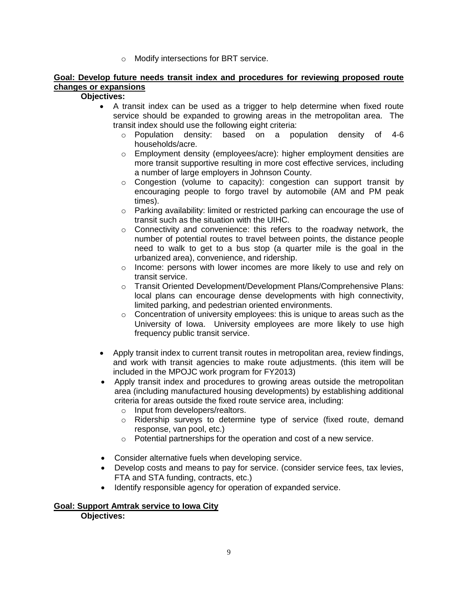o Modify intersections for BRT service.

#### **Goal: Develop future needs transit index and procedures for reviewing proposed route changes or expansions**

#### **Objectives:**

- A transit index can be used as a trigger to help determine when fixed route service should be expanded to growing areas in the metropolitan area. The transit index should use the following eight criteria:
	- $\circ$  Population density: based on a population density of 4-6 households/acre.
	- $\circ$  Employment density (employees/acre): higher employment densities are more transit supportive resulting in more cost effective services, including a number of large employers in Johnson County.
	- $\circ$  Congestion (volume to capacity): congestion can support transit by encouraging people to forgo travel by automobile (AM and PM peak times).
	- $\circ$  Parking availability: limited or restricted parking can encourage the use of transit such as the situation with the UIHC.
	- $\circ$  Connectivity and convenience: this refers to the roadway network, the number of potential routes to travel between points, the distance people need to walk to get to a bus stop (a quarter mile is the goal in the urbanized area), convenience, and ridership.
	- $\circ$  Income: persons with lower incomes are more likely to use and rely on transit service.
	- o Transit Oriented Development/Development Plans/Comprehensive Plans: local plans can encourage dense developments with high connectivity, limited parking, and pedestrian oriented environments.
	- $\circ$  Concentration of university employees: this is unique to areas such as the University of Iowa. University employees are more likely to use high frequency public transit service.
- Apply transit index to current transit routes in metropolitan area, review findings, and work with transit agencies to make route adjustments. (this item will be included in the MPOJC work program for FY2013)
- Apply transit index and procedures to growing areas outside the metropolitan area (including manufactured housing developments) by establishing additional criteria for areas outside the fixed route service area, including:
	- o Input from developers/realtors.
	- o Ridership surveys to determine type of service (fixed route, demand response, van pool, etc.)
	- o Potential partnerships for the operation and cost of a new service.
- Consider alternative fuels when developing service.
- Develop costs and means to pay for service. (consider service fees, tax levies, FTA and STA funding, contracts, etc.)
- Identify responsible agency for operation of expanded service.

#### **Goal: Support Amtrak service to Iowa City Objectives:**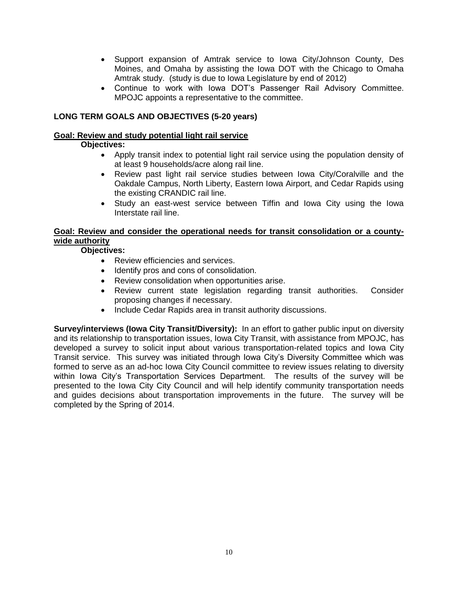- Support expansion of Amtrak service to Iowa City/Johnson County, Des Moines, and Omaha by assisting the Iowa DOT with the Chicago to Omaha Amtrak study. (study is due to Iowa Legislature by end of 2012)
- Continue to work with Iowa DOT's Passenger Rail Advisory Committee. MPOJC appoints a representative to the committee.

### **LONG TERM GOALS AND OBJECTIVES (5-20 years)**

#### **Goal: Review and study potential light rail service**

#### **Objectives:**

- Apply transit index to potential light rail service using the population density of at least 9 households/acre along rail line.
- Review past light rail service studies between Iowa City/Coralville and the Oakdale Campus, North Liberty, Eastern Iowa Airport, and Cedar Rapids using the existing CRANDIC rail line.
- Study an east-west service between Tiffin and Iowa City using the Iowa Interstate rail line.

#### **Goal: Review and consider the operational needs for transit consolidation or a countywide authority**

### **Objectives:**

- Review efficiencies and services.
- Identify pros and cons of consolidation.
- Review consolidation when opportunities arise.
- Review current state legislation regarding transit authorities. Consider proposing changes if necessary.
- Include Cedar Rapids area in transit authority discussions.

**Survey/interviews (Iowa City Transit/Diversity):** In an effort to gather public input on diversity and its relationship to transportation issues, Iowa City Transit, with assistance from MPOJC, has developed a survey to solicit input about various transportation-related topics and Iowa City Transit service. This survey was initiated through Iowa City's Diversity Committee which was formed to serve as an ad-hoc Iowa City Council committee to review issues relating to diversity within Iowa City's Transportation Services Department. The results of the survey will be presented to the Iowa City City Council and will help identify community transportation needs and guides decisions about transportation improvements in the future. The survey will be completed by the Spring of 2014.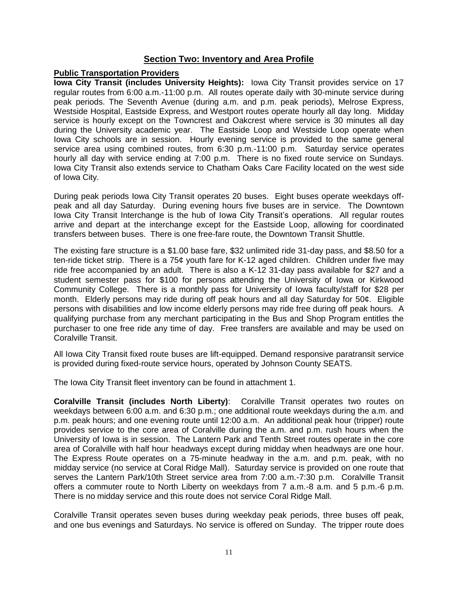# **Section Two: Inventory and Area Profile**

#### **Public Transportation Providers**

**Iowa City Transit (includes University Heights):** Iowa City Transit provides service on 17 regular routes from 6:00 a.m.-11:00 p.m. All routes operate daily with 30-minute service during peak periods. The Seventh Avenue (during a.m. and p.m. peak periods), Melrose Express, Westside Hospital, Eastside Express, and Westport routes operate hourly all day long. Midday service is hourly except on the Towncrest and Oakcrest where service is 30 minutes all day during the University academic year. The Eastside Loop and Westside Loop operate when Iowa City schools are in session. Hourly evening service is provided to the same general service area using combined routes, from 6:30 p.m.-11:00 p.m. Saturday service operates hourly all day with service ending at 7:00 p.m. There is no fixed route service on Sundays. Iowa City Transit also extends service to Chatham Oaks Care Facility located on the west side of Iowa City.

During peak periods Iowa City Transit operates 20 buses. Eight buses operate weekdays offpeak and all day Saturday. During evening hours five buses are in service. The Downtown Iowa City Transit Interchange is the hub of Iowa City Transit's operations. All regular routes arrive and depart at the interchange except for the Eastside Loop, allowing for coordinated transfers between buses. There is one free-fare route, the Downtown Transit Shuttle.

The existing fare structure is a \$1.00 base fare, \$32 unlimited ride 31-day pass, and \$8.50 for a ten-ride ticket strip. There is a 75¢ youth fare for K-12 aged children. Children under five may ride free accompanied by an adult. There is also a K-12 31-day pass available for \$27 and a student semester pass for \$100 for persons attending the University of Iowa or Kirkwood Community College. There is a monthly pass for University of Iowa faculty/staff for \$28 per month. Elderly persons may ride during off peak hours and all day Saturday for 50¢. Eligible persons with disabilities and low income elderly persons may ride free during off peak hours. A qualifying purchase from any merchant participating in the Bus and Shop Program entitles the purchaser to one free ride any time of day. Free transfers are available and may be used on Coralville Transit.

All Iowa City Transit fixed route buses are lift-equipped. Demand responsive paratransit service is provided during fixed-route service hours, operated by Johnson County SEATS.

The Iowa City Transit fleet inventory can be found in attachment 1.

**Coralville Transit (includes North Liberty)**: Coralville Transit operates two routes on weekdays between 6:00 a.m. and 6:30 p.m.; one additional route weekdays during the a.m. and p.m. peak hours; and one evening route until 12:00 a.m. An additional peak hour (tripper) route provides service to the core area of Coralville during the a.m. and p.m. rush hours when the University of Iowa is in session. The Lantern Park and Tenth Street routes operate in the core area of Coralville with half hour headways except during midday when headways are one hour. The Express Route operates on a 75-minute headway in the a.m. and p.m. peak, with no midday service (no service at Coral Ridge Mall). Saturday service is provided on one route that serves the Lantern Park/10th Street service area from 7:00 a.m.-7:30 p.m. Coralville Transit offers a commuter route to North Liberty on weekdays from 7 a.m.-8 a.m. and 5 p.m.-6 p.m. There is no midday service and this route does not service Coral Ridge Mall.

Coralville Transit operates seven buses during weekday peak periods, three buses off peak, and one bus evenings and Saturdays. No service is offered on Sunday. The tripper route does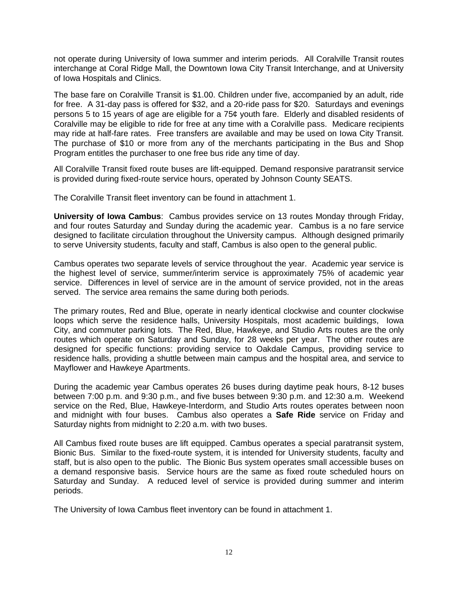not operate during University of Iowa summer and interim periods. All Coralville Transit routes interchange at Coral Ridge Mall, the Downtown Iowa City Transit Interchange, and at University of Iowa Hospitals and Clinics.

The base fare on Coralville Transit is \$1.00. Children under five, accompanied by an adult, ride for free. A 31-day pass is offered for \$32, and a 20-ride pass for \$20. Saturdays and evenings persons 5 to 15 years of age are eligible for a 75¢ youth fare. Elderly and disabled residents of Coralville may be eligible to ride for free at any time with a Coralville pass. Medicare recipients may ride at half-fare rates. Free transfers are available and may be used on Iowa City Transit. The purchase of \$10 or more from any of the merchants participating in the Bus and Shop Program entitles the purchaser to one free bus ride any time of day.

All Coralville Transit fixed route buses are lift-equipped. Demand responsive paratransit service is provided during fixed-route service hours, operated by Johnson County SEATS.

The Coralville Transit fleet inventory can be found in attachment 1.

**University of Iowa Cambus**: Cambus provides service on 13 routes Monday through Friday, and four routes Saturday and Sunday during the academic year. Cambus is a no fare service designed to facilitate circulation throughout the University campus. Although designed primarily to serve University students, faculty and staff, Cambus is also open to the general public.

Cambus operates two separate levels of service throughout the year. Academic year service is the highest level of service, summer/interim service is approximately 75% of academic year service. Differences in level of service are in the amount of service provided, not in the areas served. The service area remains the same during both periods.

The primary routes, Red and Blue, operate in nearly identical clockwise and counter clockwise loops which serve the residence halls, University Hospitals, most academic buildings, Iowa City, and commuter parking lots. The Red, Blue, Hawkeye, and Studio Arts routes are the only routes which operate on Saturday and Sunday, for 28 weeks per year. The other routes are designed for specific functions: providing service to Oakdale Campus, providing service to residence halls, providing a shuttle between main campus and the hospital area, and service to Mayflower and Hawkeye Apartments.

During the academic year Cambus operates 26 buses during daytime peak hours, 8-12 buses between 7:00 p.m. and 9:30 p.m., and five buses between 9:30 p.m. and 12:30 a.m. Weekend service on the Red, Blue, Hawkeye-Interdorm, and Studio Arts routes operates between noon and midnight with four buses. Cambus also operates a **Safe Ride** service on Friday and Saturday nights from midnight to 2:20 a.m. with two buses.

All Cambus fixed route buses are lift equipped. Cambus operates a special paratransit system, Bionic Bus. Similar to the fixed-route system, it is intended for University students, faculty and staff, but is also open to the public. The Bionic Bus system operates small accessible buses on a demand responsive basis. Service hours are the same as fixed route scheduled hours on Saturday and Sunday. A reduced level of service is provided during summer and interim periods.

The University of Iowa Cambus fleet inventory can be found in attachment 1.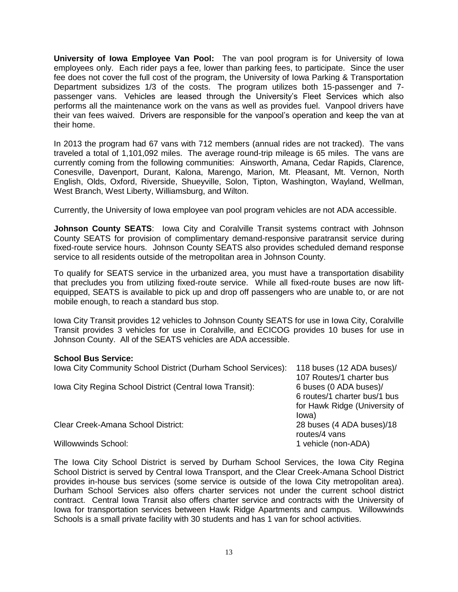**University of Iowa Employee Van Pool:** The van pool program is for University of Iowa employees only. Each rider pays a fee, lower than parking fees, to participate. Since the user fee does not cover the full cost of the program, the University of Iowa Parking & Transportation Department subsidizes 1/3 of the costs. The program utilizes both 15-passenger and 7 passenger vans. Vehicles are leased through the University's Fleet Services which also performs all the maintenance work on the vans as well as provides fuel. Vanpool drivers have their van fees waived. Drivers are responsible for the vanpool's operation and keep the van at their home.

In 2013 the program had 67 vans with 712 members (annual rides are not tracked). The vans traveled a total of 1,101,092 miles. The average round-trip mileage is 65 miles. The vans are currently coming from the following communities: Ainsworth, Amana, Cedar Rapids, Clarence, Conesville, Davenport, Durant, Kalona, Marengo, Marion, Mt. Pleasant, Mt. Vernon, North English, Olds, Oxford, Riverside, Shueyville, Solon, Tipton, Washington, Wayland, Wellman, West Branch, West Liberty, Williamsburg, and Wilton.

Currently, the University of Iowa employee van pool program vehicles are not ADA accessible.

**Johnson County SEATS:** Iowa City and Coralville Transit systems contract with Johnson County SEATS for provision of complimentary demand-responsive paratransit service during fixed-route service hours. Johnson County SEATS also provides scheduled demand response service to all residents outside of the metropolitan area in Johnson County.

To qualify for SEATS service in the urbanized area, you must have a transportation disability that precludes you from utilizing fixed-route service. While all fixed-route buses are now liftequipped, SEATS is available to pick up and drop off passengers who are unable to, or are not mobile enough, to reach a standard bus stop.

Iowa City Transit provides 12 vehicles to Johnson County SEATS for use in Iowa City, Coralville Transit provides 3 vehicles for use in Coralville, and ECICOG provides 10 buses for use in Johnson County. All of the SEATS vehicles are ADA accessible.

#### **School Bus Service:**

| Iowa City Community School District (Durham School Services): | 118 buses (12 ADA buses)/<br>107 Routes/1 charter bus |
|---------------------------------------------------------------|-------------------------------------------------------|
| Iowa City Regina School District (Central Iowa Transit):      | 6 buses (0 ADA buses)/                                |
|                                                               | 6 routes/1 charter bus/1 bus                          |
|                                                               | for Hawk Ridge (University of<br>lowa)                |
| Clear Creek-Amana School District:                            | 28 buses (4 ADA buses)/18<br>routes/4 vans            |
| <b>Willowwinds School:</b>                                    | 1 vehicle (non-ADA)                                   |

The Iowa City School District is served by Durham School Services, the Iowa City Regina School District is served by Central Iowa Transport, and the Clear Creek-Amana School District provides in-house bus services (some service is outside of the Iowa City metropolitan area). Durham School Services also offers charter services not under the current school district contract. Central Iowa Transit also offers charter service and contracts with the University of Iowa for transportation services between Hawk Ridge Apartments and campus. Willowwinds Schools is a small private facility with 30 students and has 1 van for school activities.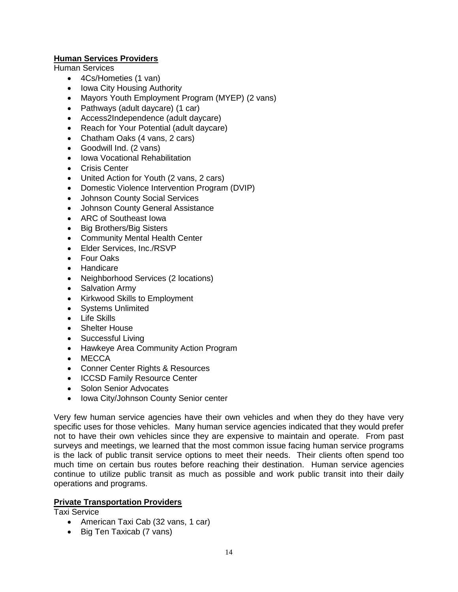# **Human Services Providers**

Human Services

- 4Cs/Hometies (1 van)
- Iowa City Housing Authority
- Mayors Youth Employment Program (MYEP) (2 vans)
- Pathways (adult daycare) (1 car)
- Access2Independence (adult daycare)
- Reach for Your Potential (adult daycare)
- Chatham Oaks (4 vans, 2 cars)
- Goodwill Ind. (2 vans)
- Iowa Vocational Rehabilitation
- Crisis Center
- United Action for Youth (2 vans, 2 cars)
- Domestic Violence Intervention Program (DVIP)
- Johnson County Social Services
- Johnson County General Assistance
- ARC of Southeast Iowa
- Big Brothers/Big Sisters
- Community Mental Health Center
- Elder Services, Inc./RSVP
- Four Oaks
- Handicare
- Neighborhood Services (2 locations)
- Salvation Army
- Kirkwood Skills to Employment
- Systems Unlimited
- Life Skills
- Shelter House
- Successful Living
- Hawkeye Area Community Action Program
- MECCA
- Conner Center Rights & Resources
- ICCSD Family Resource Center
- Solon Senior Advocates
- Iowa City/Johnson County Senior center

Very few human service agencies have their own vehicles and when they do they have very specific uses for those vehicles. Many human service agencies indicated that they would prefer not to have their own vehicles since they are expensive to maintain and operate. From past surveys and meetings, we learned that the most common issue facing human service programs is the lack of public transit service options to meet their needs. Their clients often spend too much time on certain bus routes before reaching their destination. Human service agencies continue to utilize public transit as much as possible and work public transit into their daily operations and programs.

#### **Private Transportation Providers**

Taxi Service

- American Taxi Cab (32 vans, 1 car)
- Big Ten Taxicab (7 vans)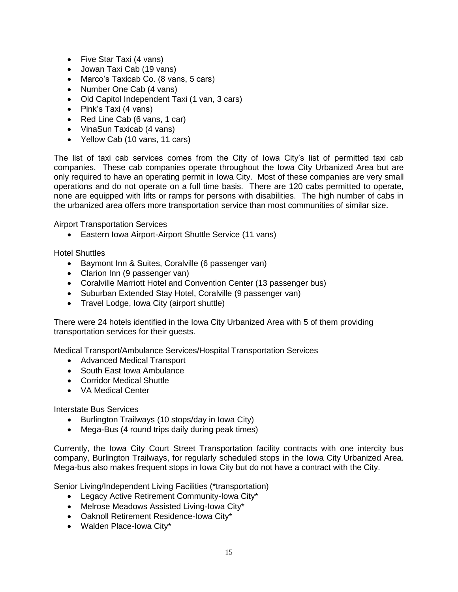- Five Star Taxi (4 vans)
- Jowan Taxi Cab (19 vans)
- Marco's Taxicab Co. (8 vans, 5 cars)
- Number One Cab (4 vans)
- Old Capitol Independent Taxi (1 van, 3 cars)
- Pink's Taxi (4 vans)
- Red Line Cab (6 vans, 1 car)
- VinaSun Taxicab (4 vans)
- Yellow Cab (10 vans, 11 cars)

The list of taxi cab services comes from the City of Iowa City's list of permitted taxi cab companies. These cab companies operate throughout the Iowa City Urbanized Area but are only required to have an operating permit in Iowa City. Most of these companies are very small operations and do not operate on a full time basis. There are 120 cabs permitted to operate, none are equipped with lifts or ramps for persons with disabilities. The high number of cabs in the urbanized area offers more transportation service than most communities of similar size.

Airport Transportation Services

Eastern Iowa Airport-Airport Shuttle Service (11 vans)

Hotel Shuttles

- Baymont Inn & Suites, Coralville (6 passenger van)
- Clarion Inn (9 passenger van)
- Coralville Marriott Hotel and Convention Center (13 passenger bus)
- Suburban Extended Stay Hotel, Coralville (9 passenger van)
- Travel Lodge, Iowa City (airport shuttle)

There were 24 hotels identified in the Iowa City Urbanized Area with 5 of them providing transportation services for their guests.

Medical Transport/Ambulance Services/Hospital Transportation Services

- Advanced Medical Transport
- South East Iowa Ambulance
- Corridor Medical Shuttle
- VA Medical Center

Interstate Bus Services

- Burlington Trailways (10 stops/day in Iowa City)
- Mega-Bus (4 round trips daily during peak times)

Currently, the Iowa City Court Street Transportation facility contracts with one intercity bus company, Burlington Trailways, for regularly scheduled stops in the Iowa City Urbanized Area. Mega-bus also makes frequent stops in Iowa City but do not have a contract with the City.

Senior Living/Independent Living Facilities (\*transportation)

- Legacy Active Retirement Community-Iowa City\*
- Melrose Meadows Assisted Living-Iowa City\*
- Oaknoll Retirement Residence-Iowa City\*
- Walden Place-Iowa City\*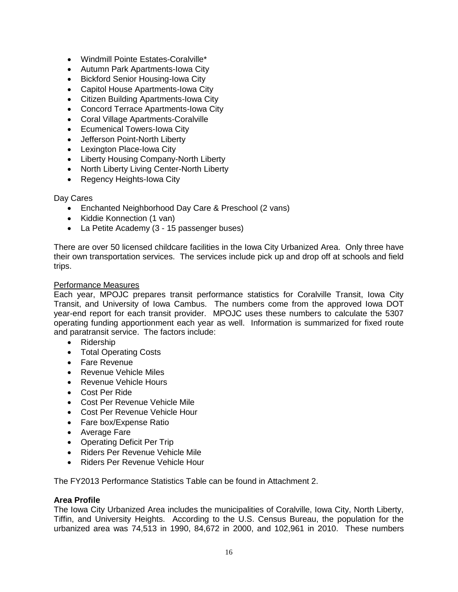- Windmill Pointe Estates-Coralville\*
- Autumn Park Apartments-Iowa City
- **•** Bickford Senior Housing-Iowa City
- Capitol House Apartments-Iowa City
- Citizen Building Apartments-Iowa City
- Concord Terrace Apartments-Iowa City
- Coral Village Apartments-Coralville
- Ecumenical Towers-Iowa City
- Jefferson Point-North Liberty
- Lexington Place-Iowa City
- Liberty Housing Company-North Liberty
- North Liberty Living Center-North Liberty
- Regency Heights-Iowa City

#### Day Cares

- Enchanted Neighborhood Day Care & Preschool (2 vans)
- Kiddie Konnection (1 van)
- La Petite Academy (3 15 passenger buses)

There are over 50 licensed childcare facilities in the Iowa City Urbanized Area. Only three have their own transportation services. The services include pick up and drop off at schools and field trips.

#### Performance Measures

Each year, MPOJC prepares transit performance statistics for Coralville Transit, Iowa City Transit, and University of Iowa Cambus. The numbers come from the approved Iowa DOT year-end report for each transit provider. MPOJC uses these numbers to calculate the 5307 operating funding apportionment each year as well. Information is summarized for fixed route and paratransit service. The factors include:

- Ridership
- Total Operating Costs
- Fare Revenue
- Revenue Vehicle Miles
- Revenue Vehicle Hours
- Cost Per Ride
- Cost Per Revenue Vehicle Mile
- Cost Per Revenue Vehicle Hour
- Fare box/Expense Ratio
- Average Fare
- Operating Deficit Per Trip
- Riders Per Revenue Vehicle Mile
- Riders Per Revenue Vehicle Hour

The FY2013 Performance Statistics Table can be found in Attachment 2.

#### **Area Profile**

The Iowa City Urbanized Area includes the municipalities of Coralville, Iowa City, North Liberty, Tiffin, and University Heights. According to the U.S. Census Bureau, the population for the urbanized area was 74,513 in 1990, 84,672 in 2000, and 102,961 in 2010. These numbers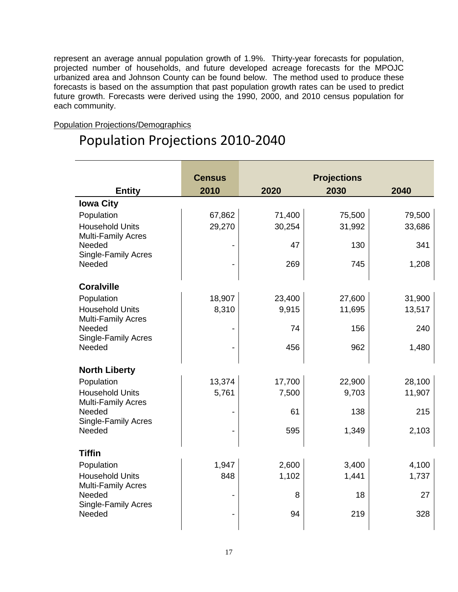represent an average annual population growth of 1.9%. Thirty-year forecasts for population, projected number of households, and future developed acreage forecasts for the MPOJC urbanized area and Johnson County can be found below. The method used to produce these forecasts is based on the assumption that past population growth rates can be used to predict future growth. Forecasts were derived using the 1990, 2000, and 2010 census population for each community.

#### Population Projections/Demographics

# Population Projections 2010-2040

|                                                     | <b>Census</b> | <b>Projections</b> |        |        |
|-----------------------------------------------------|---------------|--------------------|--------|--------|
| <b>Entity</b>                                       | 2010          | 2020               | 2030   | 2040   |
| <b>Iowa City</b>                                    |               |                    |        |        |
| Population                                          | 67,862        | 71,400             | 75,500 | 79,500 |
| <b>Household Units</b>                              | 29,270        | 30,254             | 31,992 | 33,686 |
| <b>Multi-Family Acres</b>                           |               | 47                 |        |        |
| Needed<br>Single-Family Acres                       |               |                    | 130    | 341    |
| Needed                                              |               | 269                | 745    | 1,208  |
|                                                     |               |                    |        |        |
| <b>Coralville</b>                                   |               |                    |        |        |
| Population                                          | 18,907        | 23,400             | 27,600 | 31,900 |
| <b>Household Units</b>                              | 8,310         | 9,915              | 11,695 | 13,517 |
| <b>Multi-Family Acres</b><br>Needed                 |               | 74                 | 156    | 240    |
| <b>Single-Family Acres</b>                          |               |                    |        |        |
| Needed                                              |               | 456                | 962    | 1,480  |
|                                                     |               |                    |        |        |
| <b>North Liberty</b>                                |               |                    |        |        |
| Population                                          | 13,374        | 17,700             | 22,900 | 28,100 |
| <b>Household Units</b><br><b>Multi-Family Acres</b> | 5,761         | 7,500              | 9,703  | 11,907 |
| Needed                                              |               | 61                 | 138    | 215    |
| <b>Single-Family Acres</b>                          |               |                    |        |        |
| Needed                                              |               | 595                | 1,349  | 2,103  |
|                                                     |               |                    |        |        |
| <b>Tiffin</b>                                       |               |                    |        |        |
| Population                                          | 1,947         | 2,600              | 3,400  | 4,100  |
| <b>Household Units</b><br><b>Multi-Family Acres</b> | 848           | 1,102              | 1,441  | 1,737  |
| Needed                                              |               | 8                  | 18     | 27     |
| <b>Single-Family Acres</b>                          |               |                    |        |        |
| Needed                                              |               | 94                 | 219    | 328    |
|                                                     |               |                    |        |        |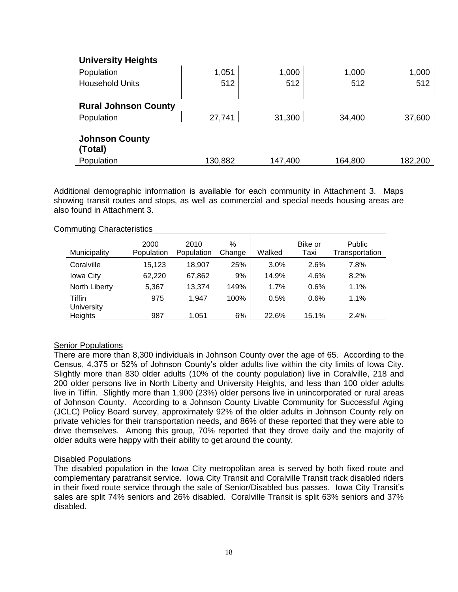| <b>University Heights</b>        |         |         |         |         |
|----------------------------------|---------|---------|---------|---------|
| Population                       | 1,051   | 1,000   | 1,000   | 1,000   |
| <b>Household Units</b>           | 512     | 512     | 512     | 512     |
| <b>Rural Johnson County</b>      |         |         |         |         |
| Population                       | 27,741  | 31,300  | 34,400  | 37,600  |
| <b>Johnson County</b><br>(Total) |         |         |         |         |
| Population                       | 130,882 | 147,400 | 164,800 | 182,200 |

Additional demographic information is available for each community in Attachment 3. Maps showing transit routes and stops, as well as commercial and special needs housing areas are also found in Attachment 3.

#### Commuting Characteristics

| Municipality      | 2000<br>Population | 2010<br>Population | $\%$<br>Change | Walked | Bike or<br>Taxi | Public<br>Transportation |
|-------------------|--------------------|--------------------|----------------|--------|-----------------|--------------------------|
| Coralville        | 15.123             | 18.907             | 25%            | 3.0%   | 2.6%            | 7.8%                     |
| Iowa City         | 62,220             | 67,862             | 9%             | 14.9%  | 4.6%            | 8.2%                     |
| North Liberty     | 5.367              | 13,374             | 149%           | 1.7%   | 0.6%            | 1.1%                     |
| Tiffin            | 975                | 1.947              | 100%           | 0.5%   | 0.6%            | 1.1%                     |
| <b>University</b> |                    |                    |                |        |                 |                          |
| Heights           | 987                | 1.051              | 6%             | 22.6%  | 15.1%           | 2.4%                     |

#### **Senior Populations**

There are more than 8,300 individuals in Johnson County over the age of 65. According to the Census, 4,375 or 52% of Johnson County's older adults live within the city limits of Iowa City. Slightly more than 830 older adults (10% of the county population) live in Coralville, 218 and 200 older persons live in North Liberty and University Heights, and less than 100 older adults live in Tiffin. Slightly more than 1,900 (23%) older persons live in unincorporated or rural areas of Johnson County. According to a Johnson County Livable Community for Successful Aging (JCLC) Policy Board survey, approximately 92% of the older adults in Johnson County rely on private vehicles for their transportation needs, and 86% of these reported that they were able to drive themselves. Among this group, 70% reported that they drove daily and the majority of older adults were happy with their ability to get around the county.

#### Disabled Populations

The disabled population in the Iowa City metropolitan area is served by both fixed route and complementary paratransit service. Iowa City Transit and Coralville Transit track disabled riders in their fixed route service through the sale of Senior/Disabled bus passes. Iowa City Transit's sales are split 74% seniors and 26% disabled. Coralville Transit is split 63% seniors and 37% disabled.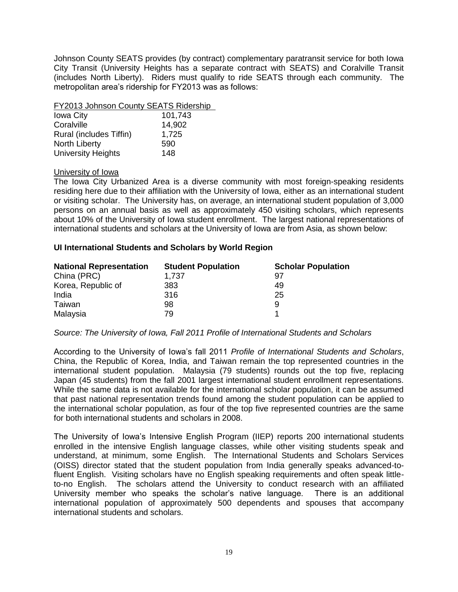Johnson County SEATS provides (by contract) complementary paratransit service for both Iowa City Transit (University Heights has a separate contract with SEATS) and Coralville Transit (includes North Liberty). Riders must qualify to ride SEATS through each community. The metropolitan area's ridership for FY2013 was as follows:

#### FY2013 Johnson County SEATS Ridership

| <b>Iowa City</b>          | 101,743 |
|---------------------------|---------|
| Coralville                | 14,902  |
| Rural (includes Tiffin)   | 1,725   |
| North Liberty             | 590     |
| <b>University Heights</b> | 148     |

#### University of Iowa

The Iowa City Urbanized Area is a diverse community with most foreign-speaking residents residing here due to their affiliation with the University of Iowa, either as an international student or visiting scholar. The University has, on average, an international student population of 3,000 persons on an annual basis as well as approximately 450 visiting scholars, which represents about 10% of the University of Iowa student enrollment. The largest national representations of international students and scholars at the University of Iowa are from Asia, as shown below:

#### **UI International Students and Scholars by World Region**

| <b>National Representation</b> | <b>Student Population</b> | <b>Scholar Population</b> |
|--------------------------------|---------------------------|---------------------------|
| China (PRC)                    | 1.737                     | 97                        |
| Korea, Republic of             | 383                       | 49                        |
| India                          | 316                       | 25                        |
| Taiwan                         | 98                        | 9                         |
| Malaysia                       | 79                        |                           |

#### *Source: The University of Iowa, Fall 2011 Profile of International Students and Scholars*

According to the University of Iowa's fall 2011 *Profile of International Students and Scholars*, China, the Republic of Korea, India, and Taiwan remain the top represented countries in the international student population. Malaysia (79 students) rounds out the top five, replacing Japan (45 students) from the fall 2001 largest international student enrollment representations. While the same data is not available for the international scholar population, it can be assumed that past national representation trends found among the student population can be applied to the international scholar population, as four of the top five represented countries are the same for both international students and scholars in 2008.

The University of Iowa's Intensive English Program (IIEP) reports 200 international students enrolled in the intensive English language classes, while other visiting students speak and understand, at minimum, some English. The International Students and Scholars Services (OISS) director stated that the student population from India generally speaks advanced-tofluent English. Visiting scholars have no English speaking requirements and often speak littleto-no English. The scholars attend the University to conduct research with an affiliated University member who speaks the scholar's native language. There is an additional international population of approximately 500 dependents and spouses that accompany international students and scholars.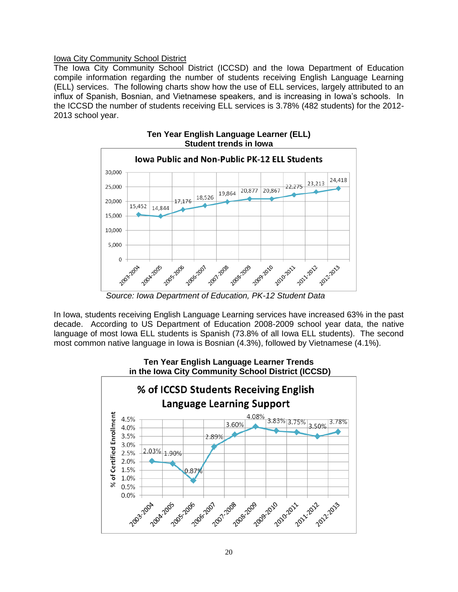#### Iowa City Community School District

The Iowa City Community School District (ICCSD) and the Iowa Department of Education compile information regarding the number of students receiving English Language Learning (ELL) services. The following charts show how the use of ELL services, largely attributed to an influx of Spanish, Bosnian, and Vietnamese speakers, and is increasing in Iowa's schools. In the ICCSD the number of students receiving ELL services is 3.78% (482 students) for the 2012- 2013 school year.



**Ten Year English Language Learner (ELL) Student trends in Iowa**

 *Source: Iowa Department of Education, PK-12 Student Data*

In Iowa, students receiving English Language Learning services have increased 63% in the past decade. According to US Department of Education 2008-2009 school year data, the native language of most Iowa ELL students is Spanish (73.8% of all Iowa ELL students). The second most common native language in Iowa is Bosnian (4.3%), followed by Vietnamese (4.1%).

# **Ten Year English Language Learner Trends in the Iowa City Community School District (ICCSD)**

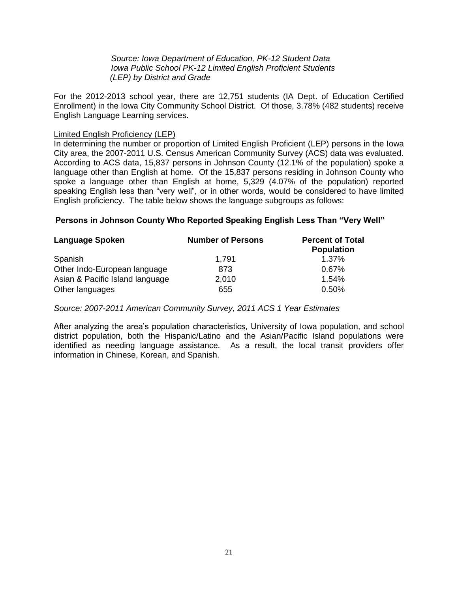*Source: Iowa Department of Education, PK-12 Student Data Iowa Public School PK-12 Limited English Proficient Students (LEP) by District and Grade*

For the 2012-2013 school year, there are 12,751 students (IA Dept. of Education Certified Enrollment) in the Iowa City Community School District. Of those, 3.78% (482 students) receive English Language Learning services.

#### Limited English Proficiency (LEP)

In determining the number or proportion of Limited English Proficient (LEP) persons in the Iowa City area, the 2007-2011 U.S. Census American Community Survey (ACS) data was evaluated. According to ACS data, 15,837 persons in Johnson County (12.1% of the population) spoke a language other than English at home. Of the 15,837 persons residing in Johnson County who spoke a language other than English at home, 5,329 (4.07% of the population) reported speaking English less than "very well", or in other words, would be considered to have limited English proficiency. The table below shows the language subgroups as follows:

#### **Persons in Johnson County Who Reported Speaking English Less Than "Very Well"**

| Language Spoken                 | <b>Number of Persons</b> | <b>Percent of Total</b><br><b>Population</b> |  |
|---------------------------------|--------------------------|----------------------------------------------|--|
| Spanish                         | 1,791                    | $1.37\%$                                     |  |
| Other Indo-European language    | 873                      | 0.67%                                        |  |
| Asian & Pacific Island language | 2,010                    | 1.54%                                        |  |
| Other languages                 | 655                      | 0.50%                                        |  |

#### *Source: 2007-2011 American Community Survey, 2011 ACS 1 Year Estimates*

After analyzing the area's population characteristics, University of Iowa population, and school district population, both the Hispanic/Latino and the Asian/Pacific Island populations were identified as needing language assistance. As a result, the local transit providers offer information in Chinese, Korean, and Spanish.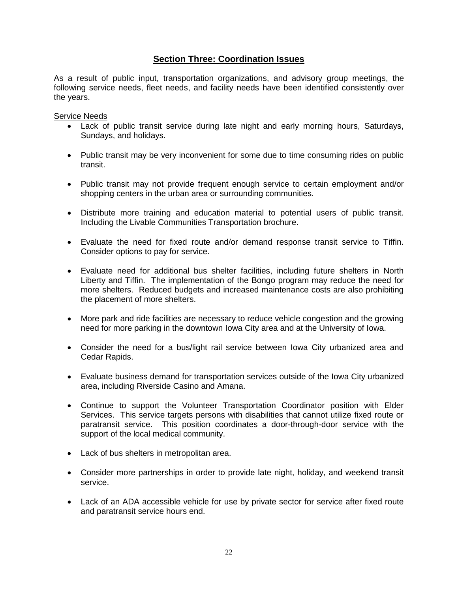# **Section Three: Coordination Issues**

As a result of public input, transportation organizations, and advisory group meetings, the following service needs, fleet needs, and facility needs have been identified consistently over the years.

Service Needs

- Lack of public transit service during late night and early morning hours, Saturdays, Sundays, and holidays.
- Public transit may be very inconvenient for some due to time consuming rides on public transit.
- Public transit may not provide frequent enough service to certain employment and/or shopping centers in the urban area or surrounding communities.
- Distribute more training and education material to potential users of public transit. Including the Livable Communities Transportation brochure.
- Evaluate the need for fixed route and/or demand response transit service to Tiffin. Consider options to pay for service.
- Evaluate need for additional bus shelter facilities, including future shelters in North Liberty and Tiffin. The implementation of the Bongo program may reduce the need for more shelters. Reduced budgets and increased maintenance costs are also prohibiting the placement of more shelters.
- More park and ride facilities are necessary to reduce vehicle congestion and the growing need for more parking in the downtown Iowa City area and at the University of Iowa.
- Consider the need for a bus/light rail service between Iowa City urbanized area and Cedar Rapids.
- Evaluate business demand for transportation services outside of the Iowa City urbanized area, including Riverside Casino and Amana.
- Continue to support the Volunteer Transportation Coordinator position with Elder Services. This service targets persons with disabilities that cannot utilize fixed route or paratransit service. This position coordinates a door-through-door service with the support of the local medical community.
- Lack of bus shelters in metropolitan area.
- Consider more partnerships in order to provide late night, holiday, and weekend transit service.
- Lack of an ADA accessible vehicle for use by private sector for service after fixed route and paratransit service hours end.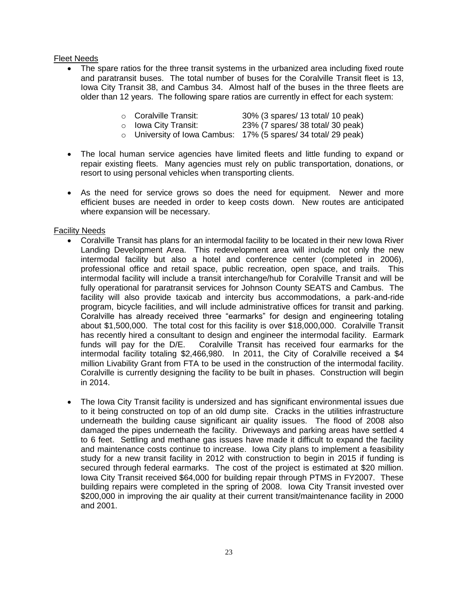#### Fleet Needs

 The spare ratios for the three transit systems in the urbanized area including fixed route and paratransit buses. The total number of buses for the Coralville Transit fleet is 13, Iowa City Transit 38, and Cambus 34. Almost half of the buses in the three fleets are older than 12 years. The following spare ratios are currently in effect for each system:

|  | ○ Coralville Transit: |  | 30% (3 spares/ 13 total/ 10 peak) |
|--|-----------------------|--|-----------------------------------|
|--|-----------------------|--|-----------------------------------|

o Iowa City Transit: 23% (7 spares/ 38 total/ 30 peak)

- o University of Iowa Cambus: 17% (5 spares/ 34 total/ 29 peak)
- The local human service agencies have limited fleets and little funding to expand or repair existing fleets. Many agencies must rely on public transportation, donations, or resort to using personal vehicles when transporting clients.
- As the need for service grows so does the need for equipment. Newer and more efficient buses are needed in order to keep costs down. New routes are anticipated where expansion will be necessary.

#### Facility Needs

- Coralville Transit has plans for an intermodal facility to be located in their new Iowa River Landing Development Area. This redevelopment area will include not only the new intermodal facility but also a hotel and conference center (completed in 2006), professional office and retail space, public recreation, open space, and trails. This intermodal facility will include a transit interchange/hub for Coralville Transit and will be fully operational for paratransit services for Johnson County SEATS and Cambus. The facility will also provide taxicab and intercity bus accommodations, a park-and-ride program, bicycle facilities, and will include administrative offices for transit and parking. Coralville has already received three "earmarks" for design and engineering totaling about \$1,500,000. The total cost for this facility is over \$18,000,000. Coralville Transit has recently hired a consultant to design and engineer the intermodal facility. Earmark funds will pay for the D/E. Coralville Transit has received four earmarks for the intermodal facility totaling \$2,466,980. In 2011, the City of Coralville received a \$4 million Livability Grant from FTA to be used in the construction of the intermodal facility. Coralville is currently designing the facility to be built in phases. Construction will begin in 2014.
- The Iowa City Transit facility is undersized and has significant environmental issues due to it being constructed on top of an old dump site. Cracks in the utilities infrastructure underneath the building cause significant air quality issues. The flood of 2008 also damaged the pipes underneath the facility. Driveways and parking areas have settled 4 to 6 feet. Settling and methane gas issues have made it difficult to expand the facility and maintenance costs continue to increase. Iowa City plans to implement a feasibility study for a new transit facility in 2012 with construction to begin in 2015 if funding is secured through federal earmarks. The cost of the project is estimated at \$20 million. Iowa City Transit received \$64,000 for building repair through PTMS in FY2007. These building repairs were completed in the spring of 2008. Iowa City Transit invested over \$200,000 in improving the air quality at their current transit/maintenance facility in 2000 and 2001.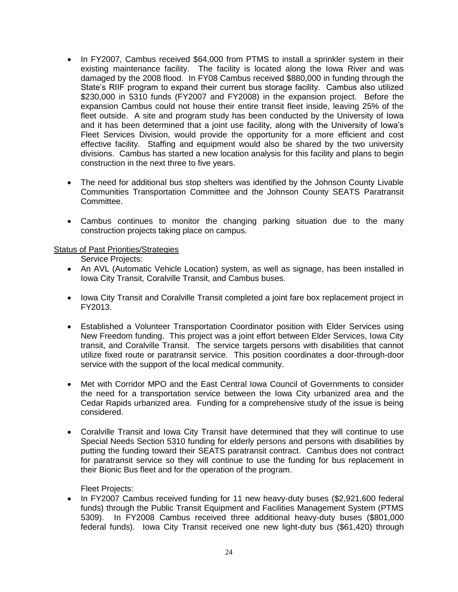- In FY2007, Cambus received \$64,000 from PTMS to install a sprinkler system in their existing maintenance facility. The facility is located along the Iowa River and was damaged by the 2008 flood. In FY08 Cambus received \$880,000 in funding through the State's RIIF program to expand their current bus storage facility. Cambus also utilized \$230,000 in 5310 funds (FY2007 and FY2008) in the expansion project. Before the expansion Cambus could not house their entire transit fleet inside, leaving 25% of the fleet outside. A site and program study has been conducted by the University of Iowa and it has been determined that a joint use facility, along with the University of Iowa's Fleet Services Division, would provide the opportunity for a more efficient and cost effective facility. Staffing and equipment would also be shared by the two university divisions. Cambus has started a new location analysis for this facility and plans to begin construction in the next three to five years.
- The need for additional bus stop shelters was identified by the Johnson County Livable Communities Transportation Committee and the Johnson County SEATS Paratransit Committee.
- Cambus continues to monitor the changing parking situation due to the many construction projects taking place on campus.

#### Status of Past Priorities/Strategies

Service Projects:

- An AVL (Automatic Vehicle Location) system, as well as signage, has been installed in Iowa City Transit, Coralville Transit, and Cambus buses.
- Iowa City Transit and Coralville Transit completed a joint fare box replacement project in FY2013.
- Established a Volunteer Transportation Coordinator position with Elder Services using New Freedom funding. This project was a joint effort between Elder Services, Iowa City transit, and Coralville Transit. The service targets persons with disabilities that cannot utilize fixed route or paratransit service. This position coordinates a door-through-door service with the support of the local medical community.
- Met with Corridor MPO and the East Central Iowa Council of Governments to consider the need for a transportation service between the Iowa City urbanized area and the Cedar Rapids urbanized area. Funding for a comprehensive study of the issue is being considered.
- Coralville Transit and Iowa City Transit have determined that they will continue to use Special Needs Section 5310 funding for elderly persons and persons with disabilities by putting the funding toward their SEATS paratransit contract. Cambus does not contract for paratransit service so they will continue to use the funding for bus replacement in their Bionic Bus fleet and for the operation of the program.

Fleet Projects:

• In FY2007 Cambus received funding for 11 new heavy-duty buses (\$2,921,600 federal funds) through the Public Transit Equipment and Facilities Management System (PTMS 5309). In FY2008 Cambus received three additional heavy-duty buses (\$801,000 federal funds). Iowa City Transit received one new light-duty bus (\$61,420) through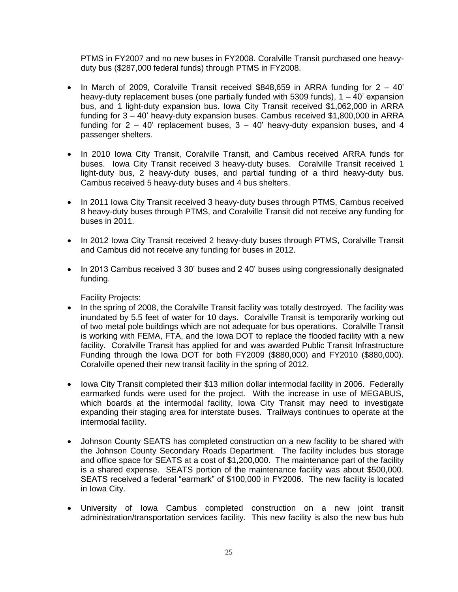PTMS in FY2007 and no new buses in FY2008. Coralville Transit purchased one heavyduty bus (\$287,000 federal funds) through PTMS in FY2008.

- In March of 2009, Coralville Transit received  $$848,659$  in ARRA funding for  $2 40'$ heavy-duty replacement buses (one partially funded with 5309 funds),  $1 - 40'$  expansion bus, and 1 light-duty expansion bus. Iowa City Transit received \$1,062,000 in ARRA funding for 3 – 40' heavy-duty expansion buses. Cambus received \$1,800,000 in ARRA funding for  $2 - 40$ ' replacement buses,  $3 - 40$ ' heavy-duty expansion buses, and 4 passenger shelters.
- In 2010 Iowa City Transit, Coralville Transit, and Cambus received ARRA funds for buses. Iowa City Transit received 3 heavy-duty buses. Coralville Transit received 1 light-duty bus, 2 heavy-duty buses, and partial funding of a third heavy-duty bus. Cambus received 5 heavy-duty buses and 4 bus shelters.
- In 2011 Iowa City Transit received 3 heavy-duty buses through PTMS, Cambus received 8 heavy-duty buses through PTMS, and Coralville Transit did not receive any funding for buses in 2011.
- In 2012 Iowa City Transit received 2 heavy-duty buses through PTMS, Coralville Transit and Cambus did not receive any funding for buses in 2012.
- In 2013 Cambus received 3 30' buses and 2 40' buses using congressionally designated funding.

Facility Projects:

- In the spring of 2008, the Coralville Transit facility was totally destroyed. The facility was inundated by 5.5 feet of water for 10 days. Coralville Transit is temporarily working out of two metal pole buildings which are not adequate for bus operations. Coralville Transit is working with FEMA, FTA, and the Iowa DOT to replace the flooded facility with a new facility. Coralville Transit has applied for and was awarded Public Transit Infrastructure Funding through the Iowa DOT for both FY2009 (\$880,000) and FY2010 (\$880,000). Coralville opened their new transit facility in the spring of 2012.
- Iowa City Transit completed their \$13 million dollar intermodal facility in 2006. Federally earmarked funds were used for the project. With the increase in use of MEGABUS, which boards at the intermodal facility, Iowa City Transit may need to investigate expanding their staging area for interstate buses. Trailways continues to operate at the intermodal facility.
- Johnson County SEATS has completed construction on a new facility to be shared with the Johnson County Secondary Roads Department. The facility includes bus storage and office space for SEATS at a cost of \$1,200,000. The maintenance part of the facility is a shared expense. SEATS portion of the maintenance facility was about \$500,000. SEATS received a federal "earmark" of \$100,000 in FY2006. The new facility is located in Iowa City.
- University of Iowa Cambus completed construction on a new joint transit administration/transportation services facility. This new facility is also the new bus hub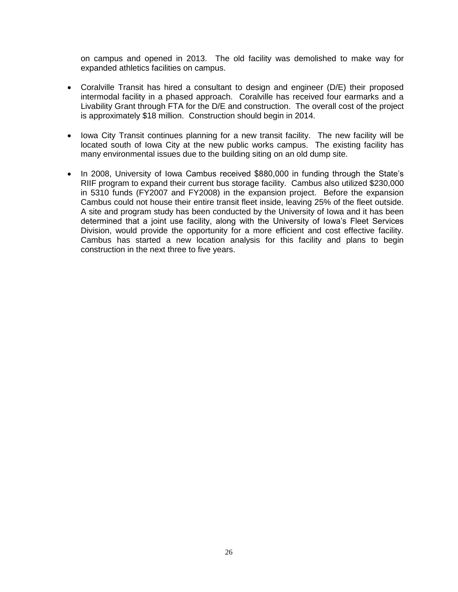on campus and opened in 2013. The old facility was demolished to make way for expanded athletics facilities on campus.

- Coralville Transit has hired a consultant to design and engineer (D/E) their proposed intermodal facility in a phased approach. Coralville has received four earmarks and a Livability Grant through FTA for the D/E and construction. The overall cost of the project is approximately \$18 million. Construction should begin in 2014.
- Iowa City Transit continues planning for a new transit facility. The new facility will be located south of Iowa City at the new public works campus. The existing facility has many environmental issues due to the building siting on an old dump site.
- In 2008, University of Iowa Cambus received \$880,000 in funding through the State's RIIF program to expand their current bus storage facility. Cambus also utilized \$230,000 in 5310 funds (FY2007 and FY2008) in the expansion project. Before the expansion Cambus could not house their entire transit fleet inside, leaving 25% of the fleet outside. A site and program study has been conducted by the University of Iowa and it has been determined that a joint use facility, along with the University of Iowa's Fleet Services Division, would provide the opportunity for a more efficient and cost effective facility. Cambus has started a new location analysis for this facility and plans to begin construction in the next three to five years.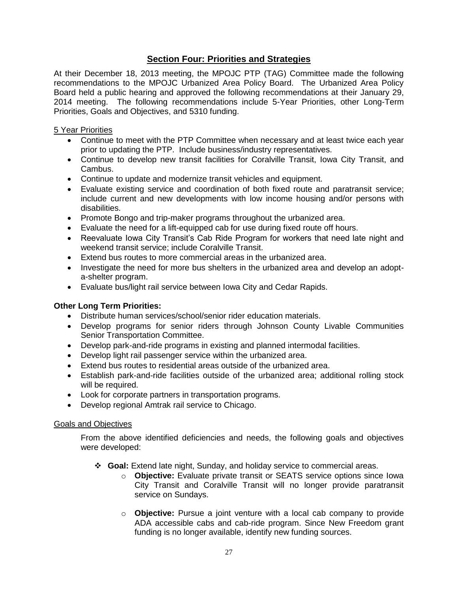# **Section Four: Priorities and Strategies**

At their December 18, 2013 meeting, the MPOJC PTP (TAG) Committee made the following recommendations to the MPOJC Urbanized Area Policy Board. The Urbanized Area Policy Board held a public hearing and approved the following recommendations at their January 29, 2014 meeting. The following recommendations include 5-Year Priorities, other Long-Term Priorities, Goals and Objectives, and 5310 funding.

#### 5 Year Priorities

- Continue to meet with the PTP Committee when necessary and at least twice each year prior to updating the PTP. Include business/industry representatives.
- Continue to develop new transit facilities for Coralville Transit, Iowa City Transit, and Cambus.
- Continue to update and modernize transit vehicles and equipment.
- Evaluate existing service and coordination of both fixed route and paratransit service; include current and new developments with low income housing and/or persons with disabilities.
- Promote Bongo and trip-maker programs throughout the urbanized area.
- Evaluate the need for a lift-equipped cab for use during fixed route off hours.
- Reevaluate Iowa City Transit's Cab Ride Program for workers that need late night and weekend transit service; include Coralville Transit.
- Extend bus routes to more commercial areas in the urbanized area.
- Investigate the need for more bus shelters in the urbanized area and develop an adopta-shelter program.
- Evaluate bus/light rail service between Iowa City and Cedar Rapids.

#### **Other Long Term Priorities:**

- Distribute human services/school/senior rider education materials.
- Develop programs for senior riders through Johnson County Livable Communities Senior Transportation Committee.
- Develop park-and-ride programs in existing and planned intermodal facilities.
- Develop light rail passenger service within the urbanized area.
- Extend bus routes to residential areas outside of the urbanized area.
- Establish park-and-ride facilities outside of the urbanized area; additional rolling stock will be required.
- Look for corporate partners in transportation programs.
- Develop regional Amtrak rail service to Chicago.

#### Goals and Objectives

From the above identified deficiencies and needs, the following goals and objectives were developed:

- **Goal:** Extend late night, Sunday, and holiday service to commercial areas.
	- o **Objective:** Evaluate private transit or SEATS service options since Iowa City Transit and Coralville Transit will no longer provide paratransit service on Sundays.
	- o **Objective:** Pursue a joint venture with a local cab company to provide ADA accessible cabs and cab-ride program. Since New Freedom grant funding is no longer available, identify new funding sources.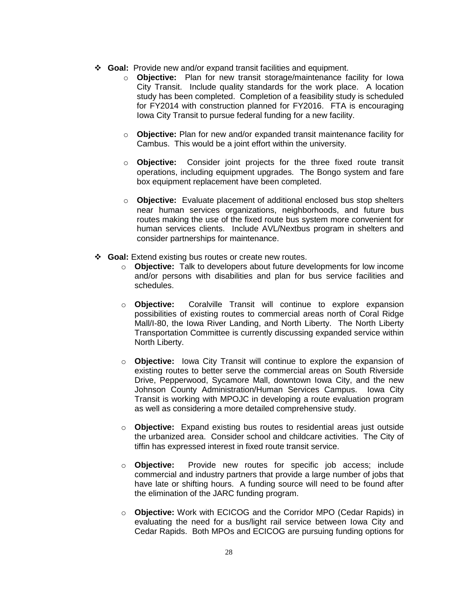- **Goal:** Provide new and/or expand transit facilities and equipment.
	- o **Objective:** Plan for new transit storage/maintenance facility for Iowa City Transit. Include quality standards for the work place. A location study has been completed. Completion of a feasibility study is scheduled for FY2014 with construction planned for FY2016. FTA is encouraging Iowa City Transit to pursue federal funding for a new facility.
	- o **Objective:** Plan for new and/or expanded transit maintenance facility for Cambus. This would be a joint effort within the university.
	- o **Objective:** Consider joint projects for the three fixed route transit operations, including equipment upgrades. The Bongo system and fare box equipment replacement have been completed.
	- o **Objective:** Evaluate placement of additional enclosed bus stop shelters near human services organizations, neighborhoods, and future bus routes making the use of the fixed route bus system more convenient for human services clients. Include AVL/Nextbus program in shelters and consider partnerships for maintenance.
- **Goal:** Extend existing bus routes or create new routes.
	- o **Objective:** Talk to developers about future developments for low income and/or persons with disabilities and plan for bus service facilities and schedules.
	- o **Objective:** Coralville Transit will continue to explore expansion possibilities of existing routes to commercial areas north of Coral Ridge Mall/I-80, the Iowa River Landing, and North Liberty. The North Liberty Transportation Committee is currently discussing expanded service within North Liberty.
	- o **Objective:** Iowa City Transit will continue to explore the expansion of existing routes to better serve the commercial areas on South Riverside Drive, Pepperwood, Sycamore Mall, downtown Iowa City, and the new Johnson County Administration/Human Services Campus. Iowa City Transit is working with MPOJC in developing a route evaluation program as well as considering a more detailed comprehensive study.
	- o **Objective:** Expand existing bus routes to residential areas just outside the urbanized area. Consider school and childcare activities. The City of tiffin has expressed interest in fixed route transit service.
	- o **Objective:** Provide new routes for specific job access; include commercial and industry partners that provide a large number of jobs that have late or shifting hours. A funding source will need to be found after the elimination of the JARC funding program.
	- o **Objective:** Work with ECICOG and the Corridor MPO (Cedar Rapids) in evaluating the need for a bus/light rail service between Iowa City and Cedar Rapids. Both MPOs and ECICOG are pursuing funding options for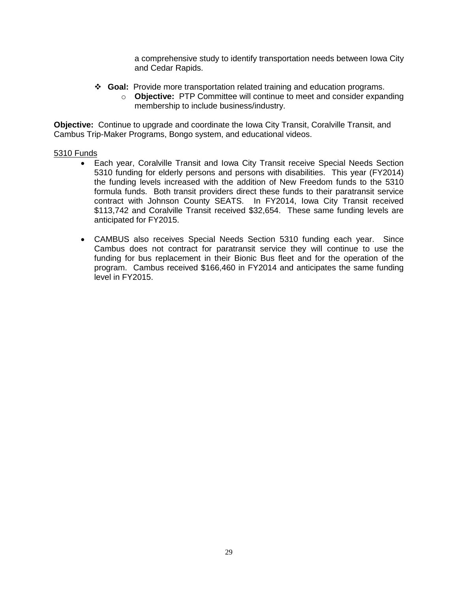a comprehensive study to identify transportation needs between Iowa City and Cedar Rapids.

- **Goal:** Provide more transportation related training and education programs.
	- o **Objective:** PTP Committee will continue to meet and consider expanding membership to include business/industry.

**Objective:** Continue to upgrade and coordinate the Iowa City Transit, Coralville Transit, and Cambus Trip-Maker Programs, Bongo system, and educational videos.

#### 5310 Funds

- Each year, Coralville Transit and Iowa City Transit receive Special Needs Section 5310 funding for elderly persons and persons with disabilities. This year (FY2014) the funding levels increased with the addition of New Freedom funds to the 5310 formula funds. Both transit providers direct these funds to their paratransit service contract with Johnson County SEATS. In FY2014, Iowa City Transit received \$113,742 and Coralville Transit received \$32,654. These same funding levels are anticipated for FY2015.
- CAMBUS also receives Special Needs Section 5310 funding each year. Since Cambus does not contract for paratransit service they will continue to use the funding for bus replacement in their Bionic Bus fleet and for the operation of the program. Cambus received \$166,460 in FY2014 and anticipates the same funding level in FY2015.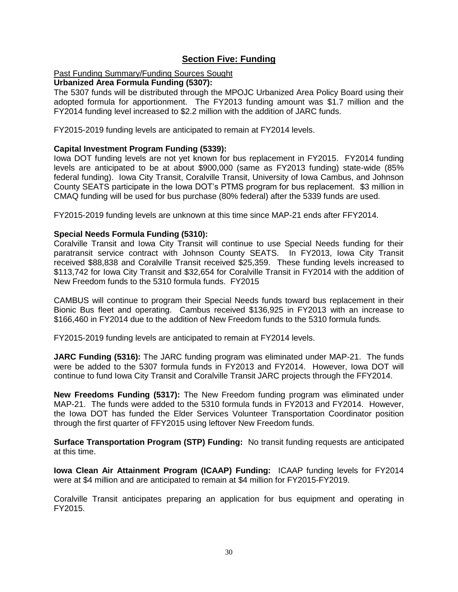# **Section Five: Funding**

#### Past Funding Summary/Funding Sources Sought

#### **Urbanized Area Formula Funding (5307):**

The 5307 funds will be distributed through the MPOJC Urbanized Area Policy Board using their adopted formula for apportionment. The FY2013 funding amount was \$1.7 million and the FY2014 funding level increased to \$2.2 million with the addition of JARC funds.

FY2015-2019 funding levels are anticipated to remain at FY2014 levels.

#### **Capital Investment Program Funding (5339):**

Iowa DOT funding levels are not yet known for bus replacement in FY2015. FY2014 funding levels are anticipated to be at about \$900,000 (same as FY2013 funding) state-wide (85% federal funding). Iowa City Transit, Coralville Transit, University of Iowa Cambus, and Johnson County SEATS participate in the Iowa DOT's PTMS program for bus replacement. \$3 million in CMAQ funding will be used for bus purchase (80% federal) after the 5339 funds are used.

FY2015-2019 funding levels are unknown at this time since MAP-21 ends after FFY2014.

#### **Special Needs Formula Funding (5310):**

Coralville Transit and Iowa City Transit will continue to use Special Needs funding for their paratransit service contract with Johnson County SEATS. In FY2013, Iowa City Transit received \$88,838 and Coralville Transit received \$25,359. These funding levels increased to \$113,742 for Iowa City Transit and \$32,654 for Coralville Transit in FY2014 with the addition of New Freedom funds to the 5310 formula funds. FY2015

CAMBUS will continue to program their Special Needs funds toward bus replacement in their Bionic Bus fleet and operating. Cambus received \$136,925 in FY2013 with an increase to \$166,460 in FY2014 due to the addition of New Freedom funds to the 5310 formula funds.

FY2015-2019 funding levels are anticipated to remain at FY2014 levels.

**JARC Funding (5316):** The JARC funding program was eliminated under MAP-21. The funds were be added to the 5307 formula funds in FY2013 and FY2014. However, Iowa DOT will continue to fund Iowa City Transit and Coralville Transit JARC projects through the FFY2014.

**New Freedoms Funding (5317):** The New Freedom funding program was eliminated under MAP-21. The funds were added to the 5310 formula funds in FY2013 and FY2014. However, the Iowa DOT has funded the Elder Services Volunteer Transportation Coordinator position through the first quarter of FFY2015 using leftover New Freedom funds.

**Surface Transportation Program (STP) Funding:** No transit funding requests are anticipated at this time.

**Iowa Clean Air Attainment Program (ICAAP) Funding:** ICAAP funding levels for FY2014 were at \$4 million and are anticipated to remain at \$4 million for FY2015-FY2019.

Coralville Transit anticipates preparing an application for bus equipment and operating in FY2015.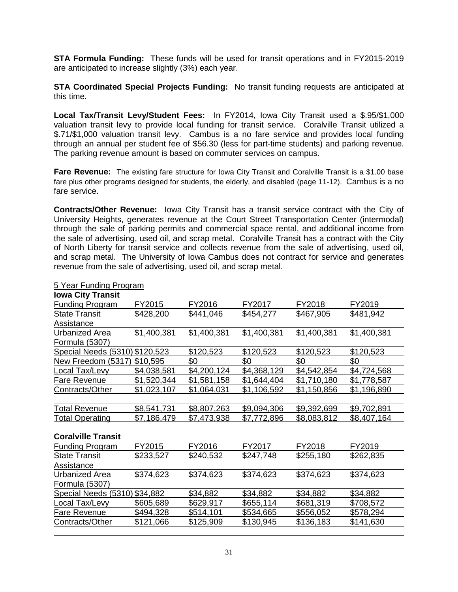**STA Formula Funding:** These funds will be used for transit operations and in FY2015-2019 are anticipated to increase slightly (3%) each year.

**STA Coordinated Special Projects Funding:** No transit funding requests are anticipated at this time.

**Local Tax/Transit Levy/Student Fees:** In FY2014, Iowa City Transit used a \$.95/\$1,000 valuation transit levy to provide local funding for transit service. Coralville Transit utilized a \$.71/\$1,000 valuation transit levy. Cambus is a no fare service and provides local funding through an annual per student fee of \$56.30 (less for part-time students) and parking revenue. The parking revenue amount is based on commuter services on campus.

**Fare Revenue:** The existing fare structure for Iowa City Transit and Coralville Transit is a \$1.00 base fare plus other programs designed for students, the elderly, and disabled (page 11-12). Cambus is a no fare service.

**Contracts/Other Revenue:** Iowa City Transit has a transit service contract with the City of University Heights, generates revenue at the Court Street Transportation Center (intermodal) through the sale of parking permits and commercial space rental, and additional income from the sale of advertising, used oil, and scrap metal. Coralville Transit has a contract with the City of North Liberty for transit service and collects revenue from the sale of advertising, used oil, and scrap metal. The University of Iowa Cambus does not contract for service and generates revenue from the sale of advertising, used oil, and scrap metal.

| <b>Iowa City Transit</b>       |             |             |             |             |             |
|--------------------------------|-------------|-------------|-------------|-------------|-------------|
| <b>Funding Program</b>         | FY2015      | FY2016      | FY2017      | FY2018      | FY2019      |
| <b>State Transit</b>           | \$428,200   | \$441,046   | \$454,277   | \$467,905   | \$481,942   |
| Assistance                     |             |             |             |             |             |
| Urbanized Area                 | \$1,400,381 | \$1,400,381 | \$1,400,381 | \$1,400,381 | \$1,400,381 |
| Formula (5307)                 |             |             |             |             |             |
| Special Needs (5310) \$120,523 |             | \$120,523   | \$120,523   | \$120,523   | \$120,523   |
| New Freedom (5317)             | \$10,595    | \$0         | \$0         | \$0         | \$0         |
| Local Tax/Levy                 | \$4,038,581 | \$4,200,124 | \$4,368,129 | \$4,542,854 | \$4,724,568 |
| <b>Fare Revenue</b>            | \$1,520,344 | \$1,581,158 | \$1,644,404 | \$1,710,180 | \$1,778,587 |
| Contracts/Other                | \$1,023,107 | \$1,064,031 | \$1,106,592 | \$1,150,856 | \$1,196,890 |
|                                |             |             |             |             |             |
| <b>Total Revenue</b>           | \$8,541,731 | \$8,807,263 | \$9,094,306 | \$9,392,699 | \$9,702,891 |
| <b>Total Operating</b>         | \$7,186,479 | \$7,473,938 | \$7,772,896 | \$8,083,812 | \$8,407,164 |
|                                |             |             |             |             |             |
| <b>Coralville Transit</b>      |             |             |             |             |             |
| <b>Funding Program</b>         | FY2015      | FY2016      | FY2017      | FY2018      | FY2019      |
| <b>State Transit</b>           | \$233,527   | \$240,532   | \$247,748   | \$255,180   | \$262,835   |
| Assistance                     |             |             |             |             |             |
| Urbanized Area                 | \$374,623   | \$374,623   | \$374,623   | \$374,623   | \$374,623   |
| Formula (5307)                 |             |             |             |             |             |
| Special Needs (5310) \$34,882  |             | \$34,882    | \$34,882    | \$34,882    | \$34,882    |
| Local Tax/Levy                 | \$605,689   | \$629,917   | \$655,114   | \$681,319   | \$708,572   |
| Fare Revenue                   | \$494,328   | \$514,101   | \$534,665   | \$556,052   | \$578,294   |
| Contracts/Other                | \$121,066   | \$125,909   | \$130,945   | \$136,183   | \$141,630   |
|                                |             |             |             |             |             |

#### 5 Year Funding Program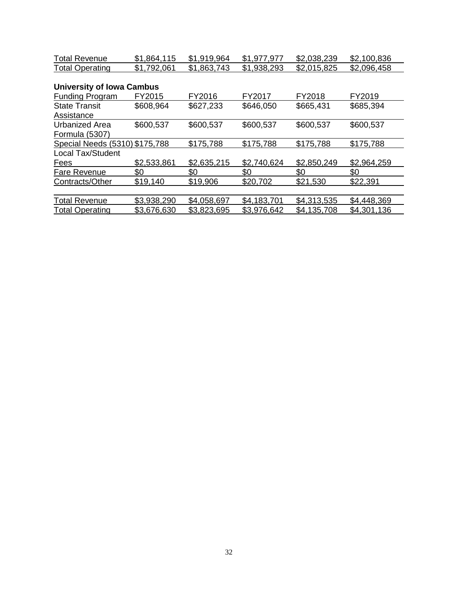| <b>Total Revenue</b>             | \$1,864,115 | \$1,919,964 | \$1,977,977 | \$2,038,239 | \$2,100,836 |
|----------------------------------|-------------|-------------|-------------|-------------|-------------|
| <b>Total Operating</b>           | \$1,792,061 | \$1,863,743 | \$1,938,293 | \$2,015,825 | \$2,096,458 |
|                                  |             |             |             |             |             |
| <b>University of Iowa Cambus</b> |             |             |             |             |             |
| <b>Funding Program</b>           | FY2015      | FY2016      | FY2017      | FY2018      | FY2019      |
| <b>State Transit</b>             | \$608,964   | \$627,233   | \$646,050   | \$665,431   | \$685,394   |
| Assistance                       |             |             |             |             |             |
| <b>Urbanized Area</b>            | \$600,537   | \$600,537   | \$600,537   | \$600,537   | \$600,537   |
| Formula (5307)                   |             |             |             |             |             |
| Special Needs (5310) \$175,788   |             | \$175,788   | \$175,788   | \$175,788   | \$175,788   |
| <b>Local Tax/Student</b>         |             |             |             |             |             |
| Fees                             | \$2,533,861 | \$2,635,215 | \$2,740,624 | \$2,850,249 | \$2,964,259 |
| Fare Revenue                     | \$0         | \$0         | \$0         | \$0         | \$0         |
| Contracts/Other                  | \$19,140    | \$19,906    | \$20,702    | \$21,530    | \$22,391    |
|                                  |             |             |             |             |             |
| <b>Total Revenue</b>             | \$3,938,290 | \$4,058,697 | \$4,183,701 | \$4,313,535 | \$4,448,369 |
| <b>Total Operating</b>           | \$3,676,630 | \$3,823,695 | \$3,976,642 | \$4,135,708 | \$4,301,136 |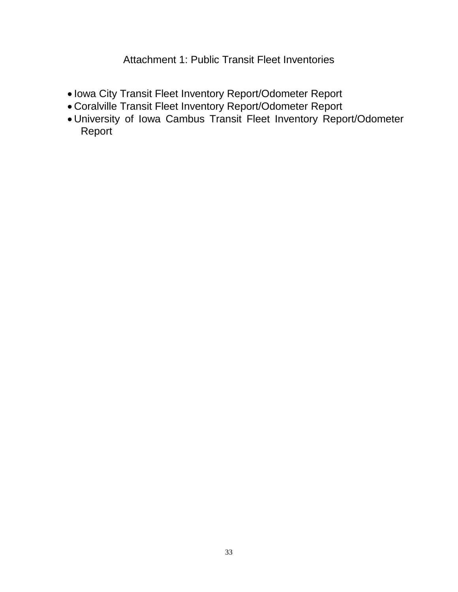Attachment 1: Public Transit Fleet Inventories

- Iowa City Transit Fleet Inventory Report/Odometer Report
- Coralville Transit Fleet Inventory Report/Odometer Report
- University of Iowa Cambus Transit Fleet Inventory Report/Odometer Report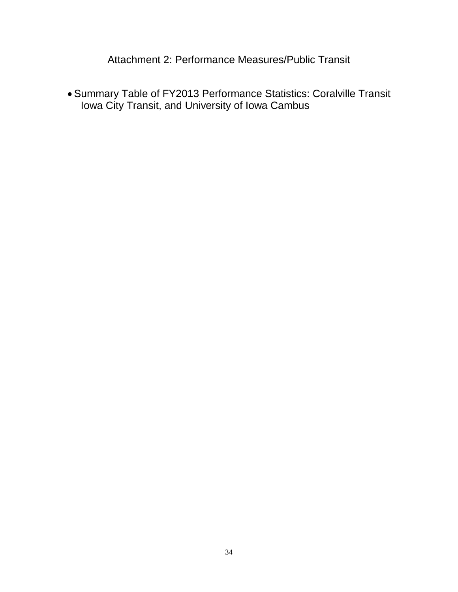Attachment 2: Performance Measures/Public Transit

 Summary Table of FY2013 Performance Statistics: Coralville Transit Iowa City Transit, and University of Iowa Cambus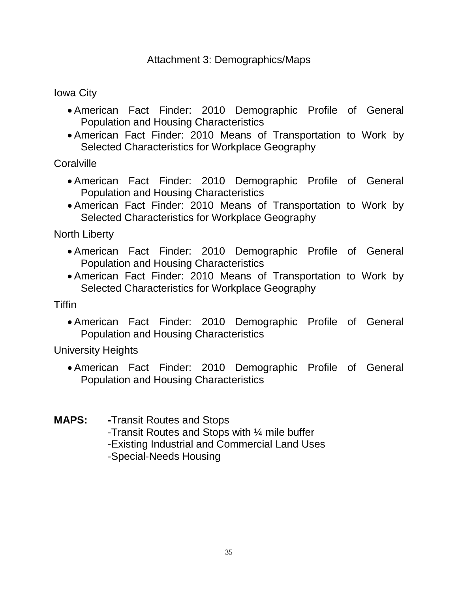Iowa City

- American Fact Finder: 2010 Demographic Profile of General Population and Housing Characteristics
- American Fact Finder: 2010 Means of Transportation to Work by Selected Characteristics for Workplace Geography

**Coralville** 

- American Fact Finder: 2010 Demographic Profile of General Population and Housing Characteristics
- American Fact Finder: 2010 Means of Transportation to Work by Selected Characteristics for Workplace Geography

North Liberty

- American Fact Finder: 2010 Demographic Profile of General Population and Housing Characteristics
- American Fact Finder: 2010 Means of Transportation to Work by Selected Characteristics for Workplace Geography

**Tiffin** 

 American Fact Finder: 2010 Demographic Profile of General Population and Housing Characteristics

University Heights

- American Fact Finder: 2010 Demographic Profile of General Population and Housing Characteristics
- **MAPS: -**Transit Routes and Stops
	- -Transit Routes and Stops with ¼ mile buffer
	- -Existing Industrial and Commercial Land Uses
	- -Special-Needs Housing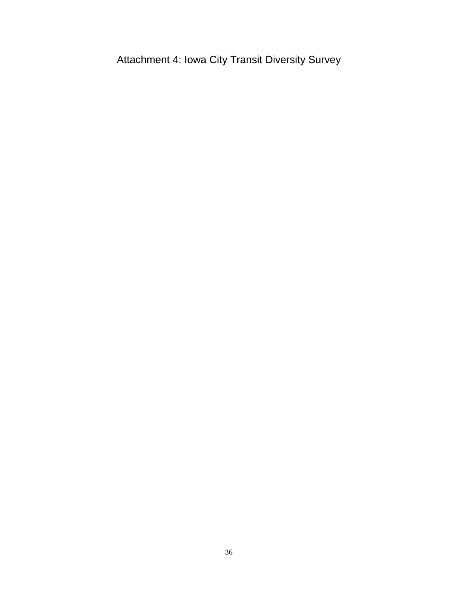Attachment 4: Iowa City Transit Diversity Survey